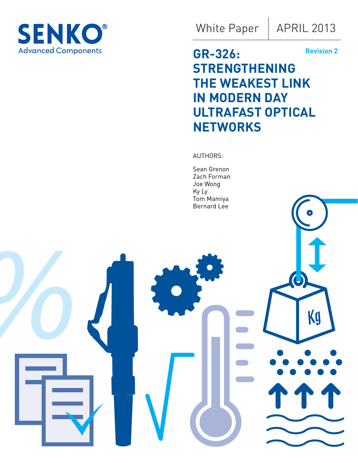

White Paper

# **GR-326: STRENGTHENING THE WEAKEST LINK IN MODERN DAY ULTRAFAST OPTICAL NETWORKS Revision 2**

AUTHORS:

Sean Grenon Zach Forman Joe Wong Ky Ly Tom Mamiya Bernard Lee

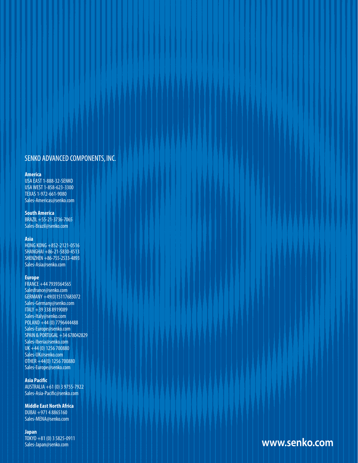### SENKO ADVANCED COMPONENTS, INC.

2 GR-326: STRENGTHENING THE WEAKEST LINK IN MODERN DAY ULTRAFAST OPTICAL NETWORKS

#### **America**

USA EAST 1-888-32-SENKO USA WEST 1-858-623-3300 TEXAS 1-972-661-9080 Sales-Americas@senko.com

#### **South America**

BRAZIL +55-21-3736-7065 Sales-Brazil@senko.com

#### **Asia**

HONG KONG +852-2121-0516 SHANGHAI +86-21-5830-4513 SHENZHEN +86-755-2533-4893 Sales-Asia@senko.com

#### **Europe**

FRANCE +44 7939364565 Salesfrance@senko.com GERMANY +49(0)15117683072 Sales-Germany@senko.com ITALY +39 338 8919089 Sales-Italy@senko.com POLAND +44 (0) 7796444488 Sales-Europe@senko.com SPAIN & PORTUGAL +34 678042829 Sales-Iberia@senko.com UK +44 (0) 1256 700880 Sales-UK@senko.com OTHER +44(0) 1256 700880 Sales-Europe@senko.com

#### **Asia Pacific**

AUSTRALIA +61 (0) 3 9755-7922 Sales-Asia-Pacific@senko.com

**Middle East North Africa** DUBAI +971 4 8865160 Sales-MENA@senko.com

#### **Japan**

TOKYO +81 (0) 3 5825-0911 Sales-Japan@senko.com

www.senko.com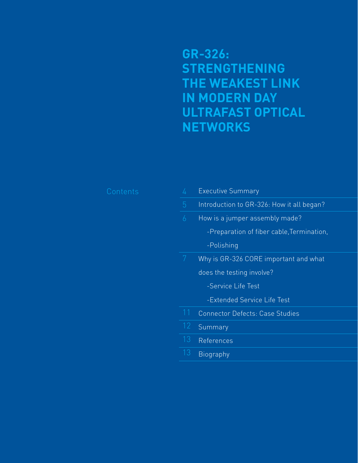**GR-326: STRENGTHENING THE WEAKEST LINK IN MODERN DAY ULTRAFAST OPTICAL NETWORKS**

| 4               | <b>Executive Summary</b>                  |
|-----------------|-------------------------------------------|
| 5               | Introduction to GR-326: How it all began? |
| 6               | How is a jumper assembly made?            |
|                 | -Preparation of fiber cable, Termination, |
|                 | -Polishing                                |
| 7               | Why is GR-326 CORE important and what     |
|                 | does the testing involve?                 |
|                 | -Service Life Test                        |
|                 | -Extended Service Life Test               |
| 11              | Connector Defects: Case Studies           |
| $\overline{12}$ | Summary                                   |
| 13              | References                                |
| 13              | <b>Biography</b>                          |
|                 |                                           |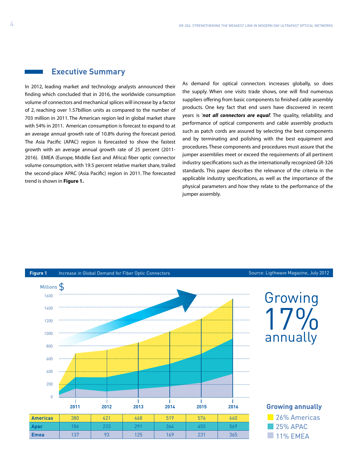### **Executive Summary**

In 2012, leading market and technology analysts announced their finding which concluded that in 2016, the worldwide consumption volume of connectors and mechanical splices will increase by a factor of 2, reaching over 1.57billion units as compared to the number of 703 million in 2011. The American region led in global market share with 54% in 2011. American consumption is forecast to expand to at an average annual growth rate of 10.8% during the forecast period. The Asia Pacific (APAC) region is forecasted to show the fastest growth with an average annual growth rate of 25 percent (2011- 2016). EMEA (Europe, Middle East and Africa) fiber optic connector volume consumption, with 19.5 percent relative market share, trailed the second-place APAC (Asia Pacific) region in 2011. The forecasted trend is shown in **Figure 1.**

As demand for optical connectors increases globally, so does the supply. When one visits trade shows, one will find numerous suppliers offering from basic components to finished cable assembly products. One key fact that end users have discovered in recent years is '*not all connectors are equal*'. The quality, reliability, and performance of optical components and cable assembly products such as patch cords are assured by selecting the best components and by terminating and polishing with the best equipment and procedures. These components and procedures must assure that the jumper assemblies meet or exceed the requirements of all pertinent industry specifications such as the internationally recognized GR-326 standards. This paper describes the relevance of the criteria in the applicable industry specifications, as well as the importance of the physical parameters and how they relate to the performance of the jumper assembly.

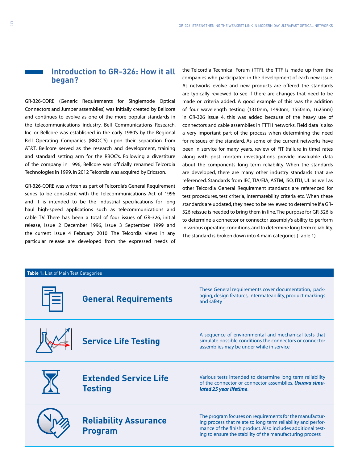## **Introduction to GR-326: How it all began?**

GR-326-CORE (Generic Requirements for Singlemode Optical Connectors and Jumper assemblies) was initially created by Bellcore and continues to evolve as one of the more popular standards in the telecommunications industry. Bell Communications Research, Inc. or Bellcore was established in the early 1980's by the Regional Bell Operating Companies (RBOC'S) upon their separation from AT&T. Bellcore served as the research and development, training and standard setting arm for the RBOC's. Following a divestiture of the company in 1996, Bellcore was officially renamed Telcordia Technologies in 1999. In 2012 Telcordia was acquired by Ericsson.

GR-326-CORE was written as part of Telcordia's General Requirement series to be consistent with the Telecommunications Act of 1996 and it is intended to be the industrial specifications for long haul high-speed applications such as telecommunications and cable TV. There has been a total of four issues of GR-326, initial release, Issue 2 December 1996, Issue 3 September 1999 and the current Issue 4 February 2010. The Telcordia views in any particular release are developed from the expressed needs of the Telcordia Technical Forum (TTF), the TTF is made up from the companies who participated in the development of each new issue. As networks evolve and new products are offered the standards are typically reviewed to see if there are changes that need to be made or criteria added. A good example of this was the addition of four wavelength testing (1310nm, 1490nm, 1550nm, 1625nm) in GR-326 issue 4, this was added because of the heavy use of connectors and cable assemblies in FTTH networks. Field data is also a very important part of the process when determining the need for reissues of the standard. As some of the current networks have been in service for many years, review of FIT (failure in time) rates along with post mortem investigations provide invaluable data about the components long term reliability. When the standards are developed, there are many other industry standards that are referenced. Standards from IEC, TIA/EIA, ASTM, ISO, ITU, UL as well as other Telcordia General Requirement standards are referenced for test procedures, test criteria, intermatebility criteria etc. When these standards are updated, they need to be reviewed to determine if a GR-326 reissue is needed to bring them in line. The purpose for GR-326 is to determine a connector or connector assembly's ability to perform in various operating conditions, and to determine long term reliability. The standard is broken down into 4 main categories (Table 1)

| Table 1: List of Main Test Categories |                                                |                                                                                                                                                                                                                                                    |  |  |  |
|---------------------------------------|------------------------------------------------|----------------------------------------------------------------------------------------------------------------------------------------------------------------------------------------------------------------------------------------------------|--|--|--|
|                                       | <b>General Requirements</b>                    | These General requirements cover documentation, pack-<br>aging, design features, intermateability, product markings<br>and safety                                                                                                                  |  |  |  |
|                                       | <b>Service Life Testing</b>                    | A sequence of environmental and mechanical tests that<br>simulate possible conditions the connectors or connector<br>assemblies may be under while in service                                                                                      |  |  |  |
|                                       | <b>Extended Service Life</b><br><b>Testing</b> | Various tests intended to determine long term reliability<br>of the connector or connector assemblies. Usuava simu-<br>lated 25 year lifetime.                                                                                                     |  |  |  |
|                                       | <b>Reliability Assurance</b><br><b>Program</b> | The program focuses on requirements for the manufactur-<br>ing process that relate to long term reliability and perfor-<br>mance of the finish product. Also includes additional test-<br>ing to ensure the stability of the manufacturing process |  |  |  |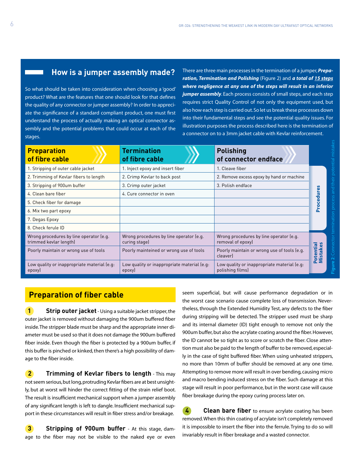## **How is a jumper assembly made?**

So what should be taken into consideration when choosing a 'good' product? What are the features that one should look for that defines the quality of any connector or jumper assembly? In order to appreciate the significance of a standard compliant product, one must first understand the process of actually making an optical connector assembly and the potential problems that could occur at each of the stages.

There are three main processes in the termination of a jumper, *Preparation, Termination and Polishing* (Figure 2) and *a total of 15 steps where negligence at any one of the steps will result in an inferior jumper assembly*. Each process consists of small steps, and each step requires strict Quality Control of not only the equipment used, but also how each step is carried out. So let us break these processes down into their fundamental steps and see the potential quality issues. For illustration purposes the process described here is the termination of a connector on to a 3mm jacket cable with Kevlar reinforcement.

| <b>Preparation</b><br>of fibre cable                              | <b>Termination</b><br>of fibre cable                     | <b>Polishing</b><br>of connector endface                        |                       |  |
|-------------------------------------------------------------------|----------------------------------------------------------|-----------------------------------------------------------------|-----------------------|--|
| 1. Stripping of outer cable jacket                                | 1. Inject epoxy and insert fiber                         | 1. Cleave fiber                                                 |                       |  |
| 2. Trimming of Kevlar fibers to length                            | 2. Crimp Kevlar to back post                             | 2. Remove excess epoxy by hand or machine                       |                       |  |
| 3. Stripping of 900um buffer                                      | 3. Crimp outer jacket                                    | 3. Polish endface                                               |                       |  |
| 4. Clean bare fiber                                               | 4. Cure connector in oven                                |                                                                 | g<br>Б                |  |
| 5. Check fiber for damage                                         |                                                          |                                                                 | <b>Pap</b>            |  |
| 6. Mix two part epoxy                                             |                                                          |                                                                 | Pro                   |  |
| 7. Degas Epoxy                                                    |                                                          |                                                                 |                       |  |
| 8. Check ferule ID                                                |                                                          |                                                                 |                       |  |
| Wrong procedures by line operator (e.g.<br>trimmed kevlar length) | Wrong procedures by line operator (e.g.<br>curing stage) | Wrong procedures by line operator (e.g.<br>removal of epoxy)    |                       |  |
| Poorly maintain or wrong use of tools                             | Poorly mainteined or wrong use of tools                  | Poorly maintain or wrong use of tools (e.g.<br>cleaver          | Potential<br>Mistakes |  |
| Low quality or inappropriate material (e.g.<br>epoxyl             | Low quality or inappropriate material (e.g.<br>epoxy     | Low quality or inappropriate material (e.g.<br>polishing films) |                       |  |

## **Preparation of fiber cable**

**1 Strip outer jacket** - Using a suitable jacket stripper, the outer jacket is removed without damaging the 900um buffered fiber inside. The stripper blade must be sharp and the appropriate inner diameter must be used so that it does not damage the 900um buffered fiber inside. Even though the fiber is protected by a 900um buffer, if this buffer is pinched or kinked, then there's a high possibility of damage to the fiber inside.

**2 Trimming of Kevlar fibers to length** - This may not seem serious, but long, protruding Kevlar fibers are at best unsightly, but at worst will hinder the correct fitting of the strain relief boot. The result is insufficient mechanical support when a jumper assembly of any significant length is left to dangle. Insufficient mechanical support in these circumstances will result in fiber stress and/or breakage.

**3 Stripping of 900um buffer** - At this stage, damage to the fiber may not be visible to the naked eye or even seem superficial, but will cause performance degradation or in the worst case scenario cause complete loss of transmission. Nevertheless, through the Extended Humidity Test, any defects to the fiber during stripping will be detected. The stripper used must be sharp and its internal diameter (ID) tight enough to remove not only the 900um buffer, but also the acrylate coating around the fiber. However, the ID cannot be so tight as to score or scratch the fiber. Close attention must also be paid to the length of buffer to be removed, especially in the case of tight buffered fiber. When using unheated strippers, no more than 10mm of buffer should be removed at any one time. Attempting to remove more will result in over bending, causing micro and macro bending induced stress on the fiber. Such damage at this stage will result in poor performance, but in the worst case will cause fiber breakage during the epoxy curing process later on.

**4 Clean bare fiber** to ensure acrylate coating has been removed. When this thin coating of acrylate isn't completely removed it is impossible to insert the fiber into the ferrule. Trying to do so will invariably result in fiber breakage and a wasted connector.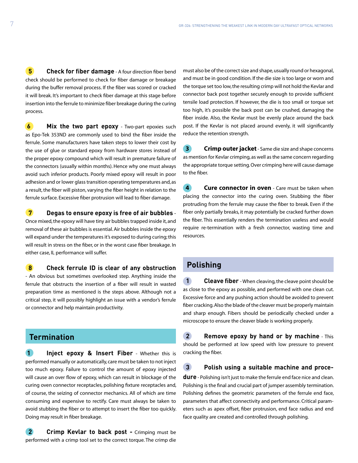**5 Check for fiber damage** - A four direction fiber bend check should be performed to check for fiber damage or breakage during the buffer removal process. If the fiber was scored or cracked it will break. It's important to check fiber damage at this stage before insertion into the ferrule to minimize fiber breakage during the curing process.

**6 Mix the two part epoxy** - Two-part epoxies such as Epo-Tek 353ND are commonly used to bind the fiber inside the ferrule. Some manufacturers have taken steps to lower their cost by the use of glue or standard epoxy from hardware stores instead of the proper epoxy compound which will result in premature failure of the connectors (usually within months). Hence why one must always avoid such inferior products. Poorly mixed epoxy will result in poor adhesion and or lower glass transition operating temperatures and, as a result, the fiber will piston, varying the fiber height in relation to the ferrule surface. Excessive fiber protrusion will lead to fiber damage.

 **7 Degas to ensure epoxy is free of air bubbles** - Once mixed, the epoxy will have tiny air bubbles trapped inside it, and removal of these air bubbles is essential. Air bubbles inside the epoxy will expand under the temperatures it's exposed to during curing; this will result in stress on the fiber, or in the worst case fiber breakage. In either case, IL performance will suffer.

 **8 Check ferrule ID is clear of any obstruction** - An obvious but sometimes overlooked step. Anything inside the ferrule that obstructs the insertion of a fiber will result in wasted preparation time as mentioned is the steps above. Although not a critical step, it will possibly highlight an issue with a vendor's ferrule or connector and help maintain productivity.

## **Termination**

 **1 Inject epoxy & Insert Fiber** - Whether this is performed manually or automatically, care must be taken to not inject too much epoxy. Failure to control the amount of epoxy injected will cause an over flow of epoxy, which can result in blockage of the curing oven connector receptacles, polishing fixture receptacles and, of course, the seizing of connector mechanics. All of which are time consuming and expensive to rectify. Care must always be taken to avoid stubbing the fiber or to attempt to insert the fiber too quickly. Doing may result in fiber breakage.

 **2 Crimp Kevlar to back post -** Crimping must be performed with a crimp tool set to the correct torque. The crimp die must also be of the correct size and shape, usually round or hexagonal, and must be in good condition. If the die size is too large or worn and the torque set too low, the resulting crimp will not hold the Kevlar and connector back post together securely enough to provide sufficient tensile load protection. If however, the die is too small or torque set too high, it's possible the back post can be crushed, damaging the fiber inside. Also, the Kevlar must be evenly place around the back post. If the Kevlar is not placed around evenly, it will significantly reduce the retention strength.

 **3 Crimp outer jacket** - Same die size and shape concerns as mention for Kevlar crimping, as well as the same concern regarding the appropriate torque setting. Over crimping here will cause damage to the fiber.

**4 Cure connector in oven** - Care must be taken when placing the connector into the curing oven. Stubbing the fiber protruding from the ferrule may cause the fiber to break. Even if the fiber only partially breaks, it may potentially be cracked further down the fiber. This essentially renders the termination useless and would require re-termination with a fresh connector, wasting time and resources.

## **Polishing**

**1 Cleave fiber** - When cleaving, the cleave point should be as close to the epoxy as possible, and performed with one clean cut. Excessive force and any pushing action should be avoided to prevent fiber cracking. Also the blade of the cleaver must be properly maintain and sharp enough. Fibers should be periodically checked under a microscope to ensure the cleaver blade is working properly.

**2 Remove epoxy by hand or by machine** - This should be performed at low speed with low pressure to prevent cracking the fiber.

 **3 Polish using a suitable machine and proce-**

**dure** - Polishing isn't just to make the ferrule end face nice and clean. Polishing is the final and crucial part of jumper assembly termination. Polishing defines the geometric parameters of the ferrule end face, parameters that affect connectivity and performance. Critical parameters such as apex offset, fiber protrusion, end face radius and end face quality are created and controlled through polishing.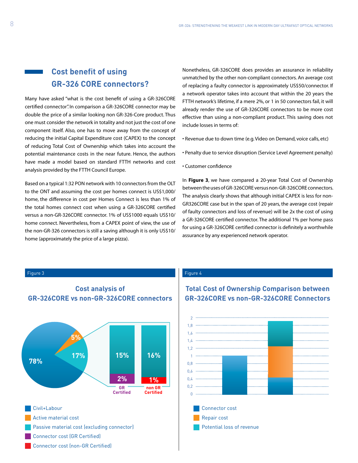## **Cost benefit of using GR-326 CORE connectors?**

Many have asked "what is the cost benefit of using a GR-326CORE certified connector". In comparison a GR-326CORE connector may be double the price of a similar looking non GR-326-Core product. Thus one must consider the network in totality and not just the cost of one component itself. Also, one has to move away from the concept of reducing the initial Capital Expenditure cost (CAPEX) to the concept of reducing Total Cost of Ownership which takes into account the potential maintenance costs in the near future. Hence, the authors have made a model based on standard FTTH networks and cost analysis provided by the FTTH Council Europe.

Based on a typical 1:32 PON network with 10 connectors from the OLT to the ONT and assuming the cost per homes connect is US\$1,000/ home, the difference in cost per Homes Connect is less than 1% of the total homes connect cost when using a GR-326CORE certified versus a non-GR-326CORE connector. 1% of US\$1000 equals US\$10/ home connect. Nevertheless, from a CAPEX point of view, the use of the non-GR-326 connectors is still a saving although it is only US\$10/ home (approximately the price of a large pizza).

Nonetheless, GR-326CORE does provides an assurance in reliability unmatched by the other non-compliant connectors. An average cost of replacing a faulty connector is approximately US\$50/connector. If a network operator takes into account that within the 20 years the FTTH network's lifetime, if a mere 2%, or 1 in 50 connectors fail, it will already render the use of GR-326CORE connectors to be more cost effective than using a non-compliant product. This saving does not include losses in terms of:

- Revenue due to down time (e.g. Video on Demand, voice calls, etc)
- Penalty due to service disruption (Service Level Agreement penalty)
- Customer confidence

In **Figure 3**, we have compared a 20-year Total Cost of Ownership between the uses of GR-326CORE versus non-GR-326CORE connectors. The analysis clearly shows that although initial CAPEX is less for non-GR326CORE case but in the span of 20 years, the average cost (repair of faulty connectors and loss of revenue) will be 2x the cost of using a GR-326CORE certified connector. The additional 1% per home pass for using a GR-326CORE certified connector is definitely a worthwhile assurance by any experienced network operator.



- Connector cost (GR Certified)
- Connector cost (non-GR Certified)

#### Figure 3 Figure 4

## **Total Cost of Ownership Comparison between GR-326CORE vs non-GR-326CORE Connectors**

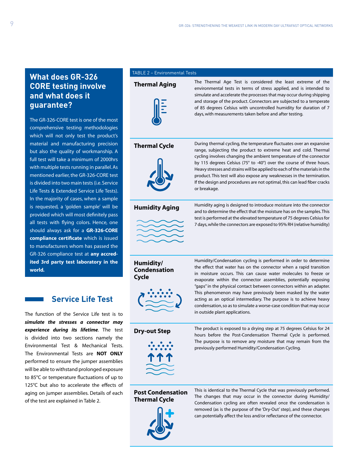## **What does GR-326 CORE testing involve and what does it guarantee?**

The GR-326-CORE test is one of the most comprehensive testing methodologies which will not only test the product's material and manufacturing precision but also the quality of workmanship. A full test will take a minimum of 2000hrs with multiple tests running in parallel. As mentioned earlier, the GR-326-CORE test is divided into two main tests (i.e. Service Life Tests & Extended Service Life Tests). In the majority of cases, when a sample is requested, a 'golden sample' will be provided which will most definitely pass all tests with flying colors. Hence, one should always ask for a **GR-326-CORE compliance certificate** which is issued to manufacturers whom has passed the GR-326 compliance test at **any accredited 3rd party test laboratory in the world.**

## **Service Life Test**

The function of the Service Life test is to *simulate the stresses a connector may experience during its lifetime*. The test is divided into two sections namely the Environmental Test & Mechanical Tests. The Environmental Tests are **NOT ONLY** performed to ensure the jumper assemblies will be able to withstand prolonged exposure to 85°C or temperature fluctuations of up to 125°C but also to accelerate the effects of aging on jumper assemblies. Details of each of the test are explained in Table 2.

#### TABLE 2 – Environmental Tests



**Thermal Aging** The Thermal Age Test is considered the least extreme of the environmental tests in terms of stress applied, and is intended to simulate and accelerate the processes that may occur during shipping and storage of the product. Connectors are subjected to a temperate of 85 degrees Celsius with uncontrolled humidity for duration of 7 days, with measurements taken before and after testing.



**Thermal Cycle** During thermal cycling, the temperature fluctuates over an expansive range, subjecting the product to extreme heat and cold. Thermal cycling involves changing the ambient temperature of the connector by 115 degrees Celsius (75° to -40°) over the course of three hours. Heavy stresses and strains will be applied to each of the materials in the product. This test will also expose any weaknesses in the termination. If the design and procedures are not optimal, this can lead fiber cracks or breakage.



**Humidity Aging** Humidity aging is designed to introduce moisture into the connector and to determine the effect that the moisture has on the samples. This test is performed at the elevated temperature of 75 degrees Celsius for 7 days, while the connectors are exposed to 95% RH (relative humidity)

**Humidity/ Condensation Cycle**



Humidity/Condensation cycling is performed in order to determine the effect that water has on the connector when a rapid transition in moisture occurs. This can cause water molecules to freeze or evaporate within the connector assemblies, potentially exposing "gaps" in the physical contact between connectors within an adapter. This phenomenon may have previously been masked by the water acting as an optical intermediary. The purpose is to achieve heavy condensation, so as to simulate a worse-case condition that may occur in outside plant applications.



**Dry-out Step** The product is exposed to a drying step at 75 degrees Celsius for 24 hours before the Post-Condensation Thermal Cycle is performed. The purpose is to remove any moisture that may remain from the previously performed Humidity/Condensation Cycling.

#### **Post Condensation Thermal Cycle**



This is identical to the Thermal Cycle that was previously performed. The changes that may occur in the connector during Humidity/ Condensation cycling are often revealed once the condensation is removed (as is the purpose of the 'Dry-Out' step), and these changes can potentially affect the loss and/or reflectance of the connector.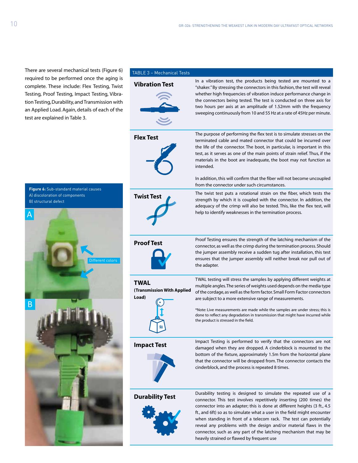There are several mechanical tests (Figure 6) required to be performed once the aging is complete. These Testing, Proof Te tion Testing, Dura an Applied Load. test are explaine

**Figure 6:** Sub-sta A) discoloration B) structural def

B

 $\overline{\mathsf{A}}$ 

| performed once the aging is<br>include: Flex Testing, Twist<br>esting, Impact Testing, Vibra-<br>ability, and Transmission with<br>l. Again, details of each of the<br>d in Table 3. | <b>Vibration Test</b>                              | In a vibration test, the products being tested are mounted to a<br>"shaker." By stressing the connectors in this fashion, the test will reveal<br>whether high frequencies of vibration induce performance change in<br>the connectors being tested. The test is conducted on three axis for<br>two hours per axis at an amplitude of 1.52mm with the frequency<br>sweeping continuously from 10 and 55 Hz at a rate of 45Hz per minute.                                                                                                                      |
|--------------------------------------------------------------------------------------------------------------------------------------------------------------------------------------|----------------------------------------------------|---------------------------------------------------------------------------------------------------------------------------------------------------------------------------------------------------------------------------------------------------------------------------------------------------------------------------------------------------------------------------------------------------------------------------------------------------------------------------------------------------------------------------------------------------------------|
|                                                                                                                                                                                      | <b>Flex Test</b>                                   | The purpose of performing the flex test is to simulate stresses on the<br>terminated cable and mated connector that could be incurred over<br>the life of the connector. The boot, in particular, is important in this<br>test, as it serves as one of the main points of strain relief. Thus, if the<br>materials in the boot are inadequate, the boot may not function as<br>intended.<br>In addition, this will confirm that the fiber will not become uncoupled                                                                                           |
| indard material causes<br>f components<br>ect                                                                                                                                        | <b>Twist Test</b>                                  | from the connector under such circumstances.<br>The twist test puts a rotational strain on the fiber, which tests the<br>strength by which it is coupled with the connector. In addition, the<br>adequacy of the crimp will also be tested. This, like the flex test, will<br>help to identify weaknesses in the termination process.                                                                                                                                                                                                                         |
| Different colors                                                                                                                                                                     | <b>Proof Test</b>                                  | Proof Testing ensures the strength of the latching mechanism of the<br>connector, as well as the crimp during the termination process. Should<br>the jumper assembly receive a sudden tug after installation, this test<br>ensures that the jumper assembly will neither break nor pull out of<br>the adapter.                                                                                                                                                                                                                                                |
|                                                                                                                                                                                      | <b>TWAL</b><br>(Transmission With Applied<br>Load) | TWAL testing will stress the samples by applying different weights at<br>multiple angles. The series of weights used depends on the media type<br>of the cordage, as well as the form factor. Small Form Factor connectors<br>are subject to a more extensive range of measurements.<br>*Note: Live measurements are made while the samples are under stress; this is<br>done to reflect any degradation in transmission that might have incurred while<br>the product is stressed in the field.                                                              |
|                                                                                                                                                                                      | <b>Impact Test</b>                                 | Impact Testing is performed to verify that the connectors are not<br>damaged when they are dropped. A cinderblock is mounted to the<br>bottom of the fixture, approximately 1.5m from the horizontal plane<br>that the connector will be dropped from. The connector contacts the<br>cinderblock, and the process is repeated 8 times.                                                                                                                                                                                                                        |
|                                                                                                                                                                                      | <b>Durability Test</b>                             | Durability testing is designed to simulate the repeated use of a<br>connector. This test involves repetitively inserting (200 times) the<br>connector into an adapter; this is done at different heights (3 ft., 4.5<br>ft., and 6ft) so as to simulate what a user in the field might encounter<br>when standing in front of a telecom rack. The test can potentially<br>reveal any problems with the design and/or material flaws in the<br>connector, such as any part of the latching mechanism that may be<br>heavily strained or flawed by frequent use |

TABLE 3 – Mechanical Tests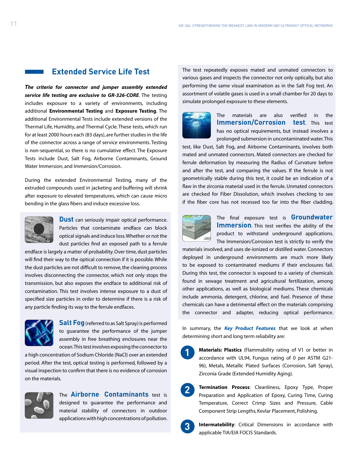### **Extended Service Life Test**

*The criteria for connector and jumper assembly extended service life testing are exclusive to GR-326-CORE*. The testing includes exposure to a variety of environments, including additional **Environmental Testing** and **Exposure Testing**. The additional Environmental Tests include extended versions of the Thermal Life, Humidity, and Thermal Cycle. These tests, which run for at least 2000 hours each (83 days), are further studies in the life of the connector across a range of service environments. Testing is non-sequential, so there is no cumulative effect. The Exposure Tests include Dust, Salt Fog, Airborne Contaminants, Ground Water Immersion, and Immersion/Corrosion.

During the extended Environmental Testing, many of the extruded compounds used in jacketing and buffering will shrink after exposure to elevated temperatures, which can cause micro bending in the glass fibers and induce excessive loss.



**Dust** can seriously impair optical performance. Particles that contaminate endface can block optical signals and induce loss. Whether or not the dust particles find an exposed path to a ferrule

endface is largely a matter of probability. Over time, dust particles will find their way to the optical connection if it is possible. While the dust particles are not difficult to remove, the cleaning process involves disconnecting the connector, which not only stops the transmission, but also exposes the endface to additional risk of contamination. This test involves intense exposure to a dust of specified size particles in order to determine if there is a risk of any particle finding its way to the ferrule endfaces.



**Salt Fog** (referred to as Salt Spray) is performed to guarantee the performance of the jumper assembly in free breathing enclosures near the ocean. This test involves exposing the connector to

a high concentration of Sodium Chloride (NaCl) over an extended period. After the test, optical testing is performed, followed by a visual inspection to confirm that there is no evidence of corrosion on the materials.



The **Airborne Contaminants** test is designed to guarantee the performance and material stability of connectors in outdoor applications with high concentrations of pollution. The test repeatedly exposes mated and unmated connectors to various gases and inspects the connector not only optically, but also performing the same visual examination as in the Salt Fog test. An assortment of volatile gases is used in a small chamber for 20 days to simulate prolonged exposure to these elements.



The materials are also verified in the **Immersion/Corrosion test**. This test has no optical requirements, but instead involves a prolonged submersion in uncontaminated water. This

test, like Dust, Salt Fog, and Airborne Contaminants, involves both mated and unmated connectors. Mated connectors are checked for ferrule deformation by measuring the Radius of Curvature before and after the test, and comparing the values. If the ferrule is not geometrically stable during this test, it could be an indication of a flaw in the zirconia material used in the ferrule. Unmated connectors are checked for Fiber Dissolution, which involves checking to see if the fiber core has not recessed too far into the fiber cladding.



**2**

**3**

The final exposure test is **Groundwater Immersion**. This test verifies the ability of the product to withstand underground applications. The Immersion/Corrosion test is strictly to verify the

materials involved, and uses de-ionized or distilled water. Connectors deployed in underground environments are much more likely to be exposed to contaminated mediums if their enclosures fail. During this test, the connector is exposed to a variety of chemicals found in sewage treatment and agricultural fertilization, among other applications, as well as biological mediums. These chemicals include ammonia, detergent, chlorine, and fuel. Presence of these chemicals can have a detrimental effect on the materials comprising the connector and adapter, reducing optical performance.

In summary, the *Key Product Features* that we look at when determining short and long term reliability are:

- **Materials: Plastics** (Flammability rating of V1 or better in accordance with UL94, Fungus rating of 0 per ASTM G21- 96), Metals, Metallic Plated Surfaces (Corrosion, Salt Spray), Zirconia Grade (Extended Humidity Aging). **1**
	- **Termination Process**: Cleanliness, Epoxy Type, Proper Preparation and Application of Epoxy, Curing Time, Curing Temperature, Correct Crimp Sizes and Pressure, Cable Component Strip Lengths, Kevlar Placement, Polishing.

**Intermatebility**: Critical Dimensions in accordance with applicable TIA/EIA FOCIS Standards.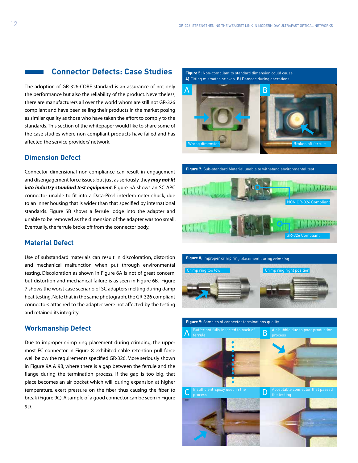## **Connector Defects: Case Studies**

The adoption of GR-326-CORE standard is an assurance of not only the performance but also the reliability of the product. Nevertheless, there are manufacturers all over the world whom are still not GR-326 compliant and have been selling their products in the market posing as similar quality as those who have taken the effort to comply to the standards. This section of the whitepaper would like to share some of the case studies where non-compliant products have failed and has affected the service providers' network.

### **Dimension Defect**

Connector dimensional non-compliance can result in engagement and disengagement force issues, but just as seriously, they *may not fit into industry standard test equipment*. Figure 5A shows an SC APC connector unable to fit into a Data-Pixel interferometer chuck, due to an inner housing that is wider than that specified by international standards. Figure 5B shows a ferrule lodge into the adapter and unable to be removed as the dimension of the adapter was too small. Eventually, the ferrule broke off from the connector body.

#### **Material Defect**

Use of substandard materials can result in discoloration, distortion and mechanical malfunction when put through environmental testing. Discoloration as shown in Figure 6A is not of great concern, but distortion and mechanical failure is as seen in Figure 6B. Figure 7 shows the worst case scenario of SC adapters melting during damp heat testing. Note that in the same photograph, the GR-326 compliant connectors attached to the adapter were not affected by the testing and retained its integrity.

#### **Workmanship Defect**

Due to improper crimp ring placement during crimping, the upper most FC connector in Figure 8 exhibited cable retention pull force well below the requirements specified GR-326. More seriously shown in Figure 9A & 9B, where there is a gap between the ferrule and the flange during the termination process. If the gap is too big, that place becomes an air pocket which will, during expansion at higher temperature, exert pressure on the fiber thus causing the fiber to break (Figure 9C). A sample of a good connector can be seen in Figure 9D.





**Figure 7:** Sub-standard Material unable to withstand environmental test





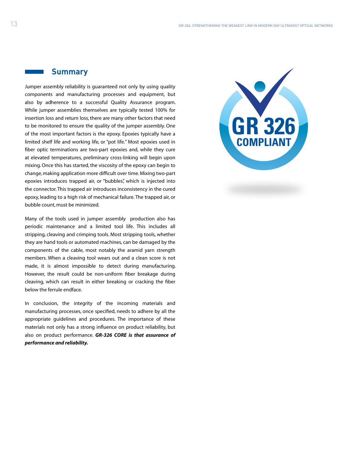### **Summary**

Jumper assembly reliability is guaranteed not only by using quality components and manufacturing processes and equipment, but also by adherence to a successful Quality Assurance program. While jumper assemblies themselves are typically tested 100% for insertion loss and return loss, there are many other factors that need to be monitored to ensure the quality of the jumper assembly. One of the most important factors is the epoxy. Epoxies typically have a limited shelf life and working life, or "pot life." Most epoxies used in fiber optic terminations are two-part epoxies and, while they cure at elevated temperatures, preliminary cross-linking will begin upon mixing. Once this has started, the viscosity of the epoxy can begin to change, making application more difficult over time. Mixing two-part epoxies introduces trapped air, or "bubbles", which is injected into the connector. This trapped air introduces inconsistency in the cured epoxy, leading to a high risk of mechanical failure. The trapped air, or bubble count, must be minimized.

Many of the tools used in jumper assembly production also has periodic maintenance and a limited tool life. This includes all stripping, cleaving and crimping tools. Most stripping tools, whether they are hand tools or automated machines, can be damaged by the components of the cable, most notably the aramid yarn strength members. When a cleaving tool wears out and a clean score is not made, it is almost impossible to detect during manufacturing. However, the result could be non-uniform fiber breakage during cleaving, which can result in either breaking or cracking the fiber below the ferrule endface.

In conclusion, the integrity of the incoming materials and manufacturing processes, once specified, needs to adhere by all the appropriate guidelines and procedures. The importance of these materials not only has a strong influence on product reliability, but also on product performance. *GR-326 CORE is that assurance of performance and reliability.*

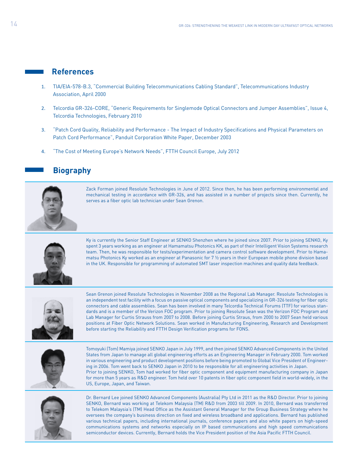### **References**

- 1. TIA/EIA-578-B.3, "Commercial Building Telecommunications Cabling Standard", Telecommunications Industry Association, April 2000
- 2. Telcordia GR-326-CORE, "Generic Requirements for Singlemode Optical Connectors and Jumper Assemblies", Issue 4, Telcordia Technologies, February 2010
- 3. "Patch Cord Quality, Reliability and Performance The Impact of Industry Specifications and Physical Parameters on Patch Cord Performance", Panduit Corporation White Paper, December 2003
- 4. "The Cost of Meeting Europe's Network Needs", FTTH Council Europe, July 2012

## **Biography**



Zack Forman joined Resolute Technologies in June of 2012. Since then, he has been performing environmental and mechanical testing in accordance with GR-326, and has assisted in a number of projects since then. Currently, he serves as a fiber optic lab technician under Sean Grenon.



Ky is currently the Senior Staff Engineer at SENKO Shenzhen where he joined since 2007. Prior to joining SENKO, Ky spent 3 years working as an engineer at Hamamatsu Photonics KK, as part of their Intelligent Vision Systems research team. Then, he was responsible for tests/experimentation and camera control software development. Prior to Hamamatsu Photonics Ky worked as an engineer at Panasonic for 7 ½ years in their European mobile phone division based in the UK. Responsible for programming of automated SMT laser inspection machines and quality data feedback.



Sean Grenon joined Resolute Technologies in November 2008 as the Regional Lab Manager. Resolute Technologies is an independent test facility with a focus on passive optical components and specializing in GR-326 testing for fiber optic connectors and cable assemblies. Sean has been involved in many Telcordia Technical Forums (TTF) for various standards and is a member of the Verizon FOC program. Prior to joining Resolute Sean was the Verizon FOC Program and Lab Manager for Curtis Strauss from 2007 to 2008. Before joining Curtis Straus, from 2000 to 2007 Sean held various positions at Fiber Optic Network Solutions. Sean worked in Manufacturing Engineering, Research and Development before starting the Reliability and FTTH Design Verification programs for FONS.



Tomoyuki (Tom) Mamiya joined SENKO Japan in July 1999, and then joined SENKO Advanced Components in the United States from Japan to manage all global engineering efforts as an Engineering Manager in February 2000. Tom worked in various engineering and product development positions before being promoted to Global Vice President of Engineering in 2006. Tom went back to SENKO Japan in 2010 to be responsible for all engineering activities in Japan. Prior to joining SENKO, Tom had worked for fiber optic component and equipment manufacturing company in Japan for more than 5 years as R&D engineer. Tom held over 10 patents in fiber optic component field in world-widely, in the US, Europe, Japan, and Taiwan.



Dr. Bernard Lee joined SENKO Advanced Components (Australia) Pty Ltd in 2011 as the R&D Director. Prior to joining SENKO, Bernard was working at Telekom Malaysia (TM) R&D from 2003 till 2009. In 2010, Bernard was transferred to Telekom Malaysia's (TM) Head Office as the Assistant General Manager for the Group Business Strategy where he oversees the company's business direction on fixed and wireless broadband and applications. Bernard has published various technical papers, including international journals, conference papers and also white papers on high-speed communications systems and networks especially on IP based communications and high speed communications semiconductor devices. Currently, Bernard holds the Vice President position of the Asia Pacific FTTH Council.